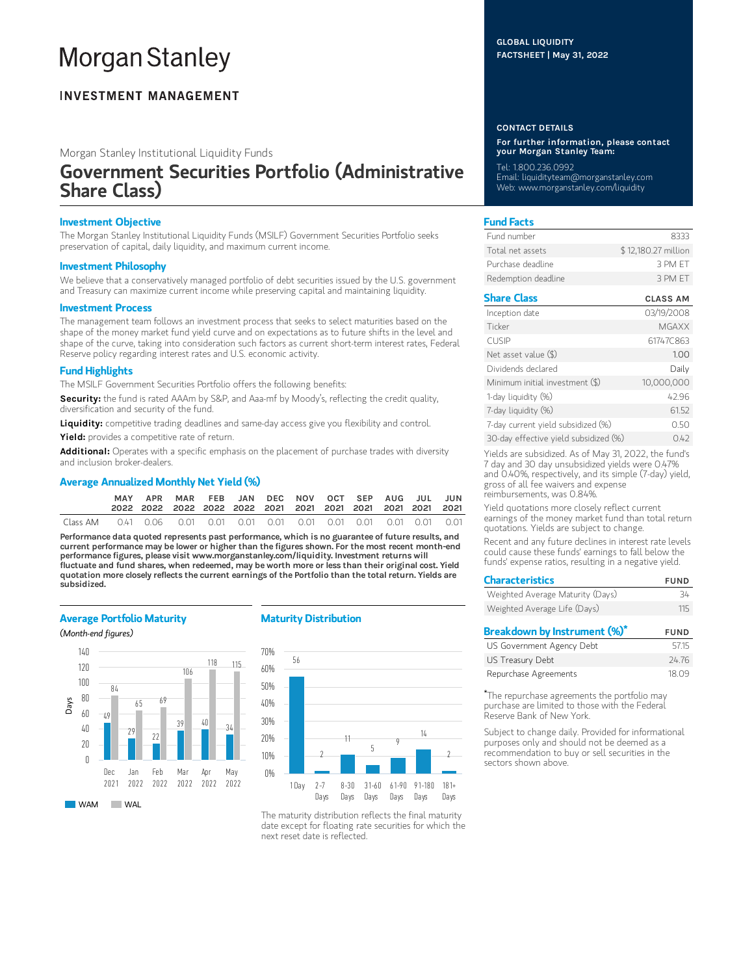# **Morgan Stanley**

### **INVESTMENT MANAGEMENT**

Morgan Stanley Institutional Liquidity Funds

## Government Securities Portfolio (Administrative Share Class)

#### Investment Objective

The Morgan Stanley Institutional Liquidity Funds (MSILF) Government Securities Portfolio seeks preservation of capital, daily liquidity, and maximum current income.

#### Investment Philosophy

We believe that a conservatively managed portfolio of debt securities issued by the U.S. government and Treasury can maximize current income while preserving capital and maintaining liquidity.

#### Investment Process

The management team follows an investment process that seeks to select maturities based on the shape of the money market fund yield curve and on expectations as to future shifts in the level and shape of the curve, taking into consideration such factors as current short-term interest rates, Federal Reserve policy regarding interest rates and U.S. economic activity.

#### Fund Highlights

The MSILF Government Securities Portfolio offers the following benefits:

Security: the fund is rated AAAm by S&P, and Aaa-mf by Moody's, reflecting the credit quality, diversification and security of the fund.

Liquidity: competitive trading deadlines and same-day access give you flexibility and control.

Yield: provides a competitive rate of return.

Additional: Operates with a specific emphasis on the placement of purchase trades with diversity and inclusion broker-dealers.

#### Average Annualized Monthly Net Yield (%)

| MAY | APR MAR FEB JAN DEC NOV OCT SEP AUG JUL JUN |  |  |  |  |  |
|-----|---------------------------------------------|--|--|--|--|--|
|     |                                             |  |  |  |  |  |

Performance data quoted represents past performance, which is no guarantee of future results, and current performance may be lower or higher than the figures shown. For the most recent month-end performance figures, please visit www.morganstanley.com/liquidity. Investment returns will fluctuate and fund shares, when redeemed, may be worth more or less than their original cost. Yield quotation more closely reflects the current earnings of the Portfolio than the total return. Yields are subsidized.

#### Average Portfolio Maturity

(Month-end figures)



#### Maturity Distribution



The maturity distribution reflects the final maturity date except for floating rate securities for which the next reset date is reflected.

#### GLOBAL LIQUIDITY FACTSHEET | May 31, 2022

#### CONTACT DETAILS

For further information, please contact your Morgan Stanley Team:

Tel: 1.800.236.0992 Email: liquidityteam@morganstanley.com Web: www.morganstanley.com/liquidity

#### Fund Facts

| Fund number         | 8333                |
|---------------------|---------------------|
| Total net assets    | \$12,180.27 million |
| Purchase deadline   | 3 PM FT             |
| Redemption deadline | 3 PM FT             |

#### Share Class CLASS AM

| Inception date                        | 03/19/2008   |
|---------------------------------------|--------------|
| Ticker                                | <b>MGAXX</b> |
| <b>CUSIP</b>                          | 61747C863    |
| Net asset value $(\$)$                | 1.00         |
| Dividends declared                    | Daily        |
| Minimum initial investment (\$)       | 10,000,000   |
| 1-day liquidity (%)                   | 42.96        |
| 7-day liquidity (%)                   | 61.52        |
| 7-day current yield subsidized (%)    | 0.50         |
| 30-day effective yield subsidized (%) | 0.42         |

Yields are subsidized. As of May 31, 2022, the fund's 7 day and 30 day unsubsidized yields were 0.47% and 0.40%, respectively, and its simple (7-day) yield, gross of all fee waivers and expense reimbursements, was 0.84%.

Yield quotations more closely reflect current earnings of the money market fund than total return quotations. Yields are subject to change.

Recent and any future declines in interest rate levels could cause these funds' earnings to fall below the funds' expense ratios, resulting in a negative yield.

| <b>Characteristics</b>           | <b>FUND</b> |
|----------------------------------|-------------|
| Weighted Average Maturity (Days) | 24          |
| Weighted Average Life (Days)     | 115         |
| Breakdown by Instrument (%)*     | <b>FUND</b> |
| US Government Agency Debt        | 5715        |

| US Government Agency Debt | 57.15 |
|---------------------------|-------|
| US Treasury Debt          | 24.76 |
| Repurchase Agreements     | 18.09 |

The repurchase agreements the portfolio may \*purchase are limited to those with the Federal Reserve Bank of New York.

Subject to change daily. Provided for informational purposes only and should not be deemed as a recommendation to buy or sell securities in the sectors shown above.